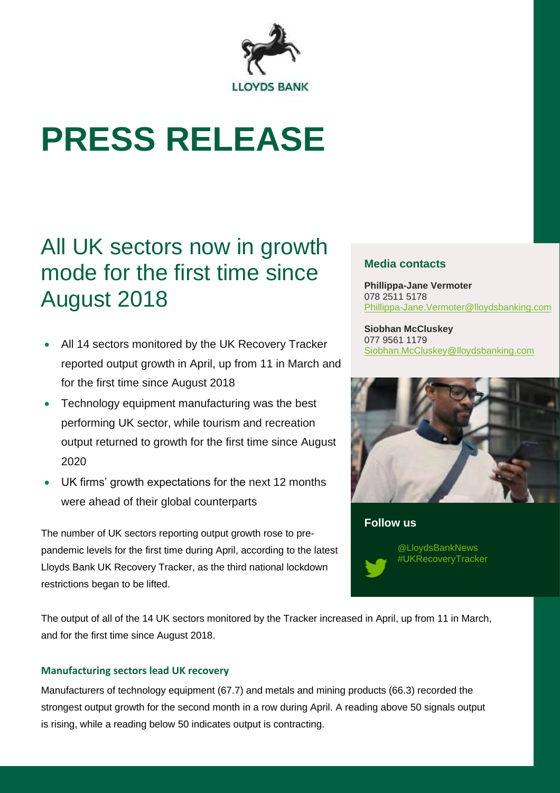

# **PRESS RELEASE**

# All UK sectors now in growth mode for the first time since August 2018

- All 14 sectors monitored by the UK Recovery Tracker reported output growth in April, up from 11 in March and for the first time since August 2018
- Technology equipment manufacturing was the best performing UK sector, while tourism and recreation output returned to growth for the first time since August 2020
- UK firms' growth expectations for the next 12 months were ahead of their global counterparts

The number of UK sectors reporting output growth rose to prepandemic levels for the first time during April, according to the latest Lloyds Bank UK Recovery Tracker, as the third national lockdown restrictions began to be lifted.

## **Media contacts**

**Phillippa-Jane Vermoter** 078 2511 5178 [Phillippa-Jane.Vermoter@lloydsbanking.com](mailto:Phillippa-Jane.Vermoter@lloydsbanking.com)

**Siobhan McCluskey** 077 9561 1179 [Siobhan.McCluskey@lloydsbanking.com](mailto:Siobhan.McCluskey@lloydsbanking.com)



**Follow us**

@LloydsBankNews #UKRecoveryTracker

The output of all of the 14 UK sectors monitored by the Tracker increased in April, up from 11 in March, and for the first time since August 2018.

# **Manufacturing sectors lead UK recovery**

Manufacturers of technology equipment (67.7) and metals and mining products (66.3) recorded the strongest output growth for the second month in a row during April. A reading above 50 signals output is rising, while a reading below 50 indicates output is contracting.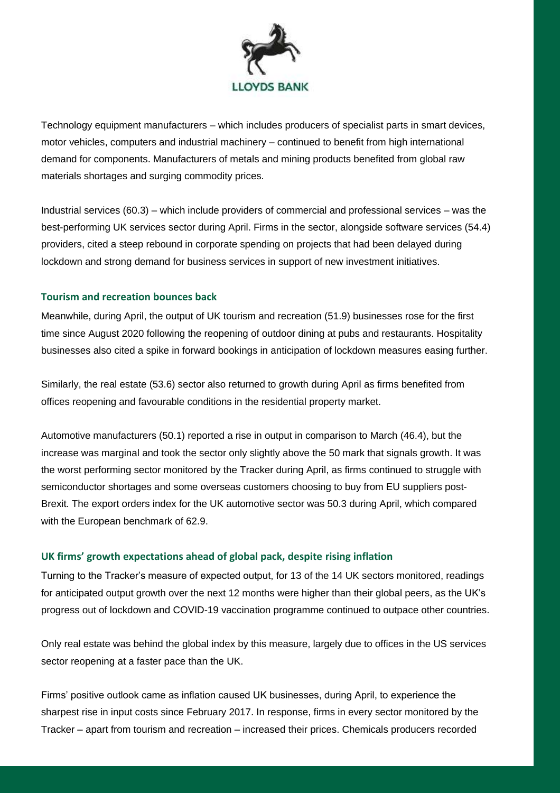

Technology equipment manufacturers – which includes producers of specialist parts in smart devices, motor vehicles, computers and industrial machinery – continued to benefit from high international demand for components. Manufacturers of metals and mining products benefited from global raw materials shortages and surging commodity prices.

Industrial services (60.3) – which include providers of commercial and professional services – was the best-performing UK services sector during April. Firms in the sector, alongside software services (54.4) providers, cited a steep rebound in corporate spending on projects that had been delayed during lockdown and strong demand for business services in support of new investment initiatives.

#### **Tourism and recreation bounces back**

Meanwhile, during April, the output of UK tourism and recreation (51.9) businesses rose for the first time since August 2020 following the reopening of outdoor dining at pubs and restaurants. Hospitality businesses also cited a spike in forward bookings in anticipation of lockdown measures easing further.

Similarly, the real estate (53.6) sector also returned to growth during April as firms benefited from offices reopening and favourable conditions in the residential property market.

Automotive manufacturers (50.1) reported a rise in output in comparison to March (46.4), but the increase was marginal and took the sector only slightly above the 50 mark that signals growth. It was the worst performing sector monitored by the Tracker during April, as firms continued to struggle with semiconductor shortages and some overseas customers choosing to buy from EU suppliers post-Brexit. The export orders index for the UK automotive sector was 50.3 during April, which compared with the European benchmark of 62.9.

### **UK firms' growth expectations ahead of global pack, despite rising inflation**

Turning to the Tracker's measure of expected output, for 13 of the 14 UK sectors monitored, readings for anticipated output growth over the next 12 months were higher than their global peers, as the UK's progress out of lockdown and COVID-19 vaccination programme continued to outpace other countries.

Only real estate was behind the global index by this measure, largely due to offices in the US services sector reopening at a faster pace than the UK.

Firms' positive outlook came as inflation caused UK businesses, during April, to experience the sharpest rise in input costs since February 2017. In response, firms in every sector monitored by the Tracker – apart from tourism and recreation – increased their prices. Chemicals producers recorded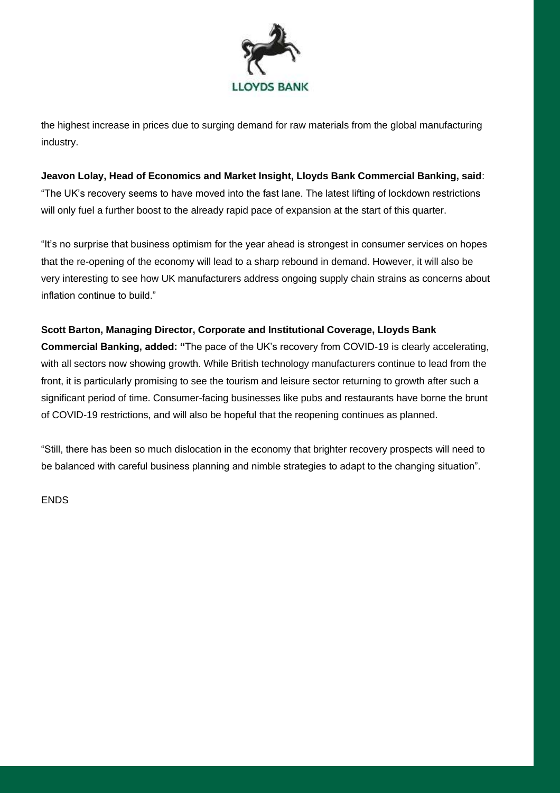

the highest increase in prices due to surging demand for raw materials from the global manufacturing industry.

#### **Jeavon Lolay, Head of Economics and Market Insight, Lloyds Bank Commercial Banking, said**:

"The UK's recovery seems to have moved into the fast lane. The latest lifting of lockdown restrictions will only fuel a further boost to the already rapid pace of expansion at the start of this quarter.

"It's no surprise that business optimism for the year ahead is strongest in consumer services on hopes that the re-opening of the economy will lead to a sharp rebound in demand. However, it will also be very interesting to see how UK manufacturers address ongoing supply chain strains as concerns about inflation continue to build."

#### **Scott Barton, Managing Director, Corporate and Institutional Coverage, Lloyds Bank**

**Commercial Banking, added: "**The pace of the UK's recovery from COVID-19 is clearly accelerating, with all sectors now showing growth. While British technology manufacturers continue to lead from the front, it is particularly promising to see the tourism and leisure sector returning to growth after such a significant period of time. Consumer-facing businesses like pubs and restaurants have borne the brunt of COVID-19 restrictions, and will also be hopeful that the reopening continues as planned.

"Still, there has been so much dislocation in the economy that brighter recovery prospects will need to be balanced with careful business planning and nimble strategies to adapt to the changing situation".

ENDS